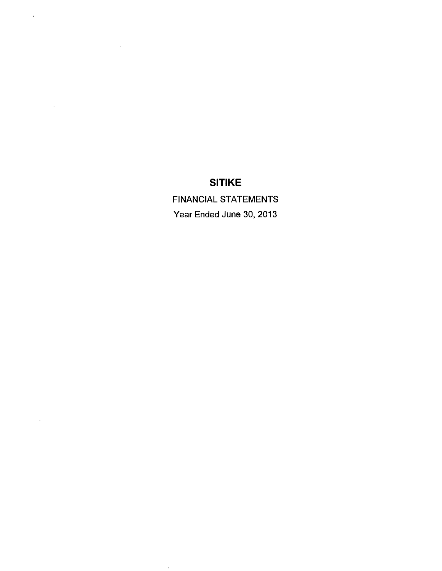$\sim$   $\star$ 

 $\sim 10$ 

 $\mathcal{A}$ 

 $\bar{\gamma}$ 

 $\mathbf{A}$ 

FINANCIAL STATEMENTS Year Ended June 30, 2013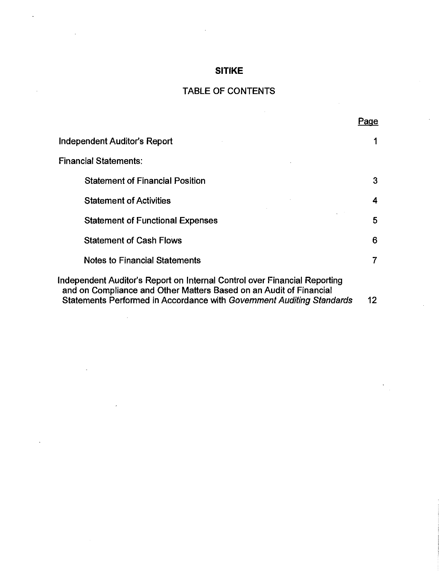# TABLE OF CONTENTS

|                                                                                                                                                                                                                          | Page |
|--------------------------------------------------------------------------------------------------------------------------------------------------------------------------------------------------------------------------|------|
| Independent Auditor's Report                                                                                                                                                                                             |      |
| <b>Financial Statements:</b>                                                                                                                                                                                             |      |
| <b>Statement of Financial Position</b>                                                                                                                                                                                   | 3    |
| <b>Statement of Activities</b>                                                                                                                                                                                           | 4    |
| <b>Statement of Functional Expenses</b>                                                                                                                                                                                  | 5    |
| <b>Statement of Cash Flows</b>                                                                                                                                                                                           | 6    |
| <b>Notes to Financial Statements</b>                                                                                                                                                                                     |      |
| Independent Auditor's Report on Internal Control over Financial Reporting<br>and on Compliance and Other Matters Based on an Audit of Financial<br>Statements Performed in Accordance with Government Auditing Standards | 12   |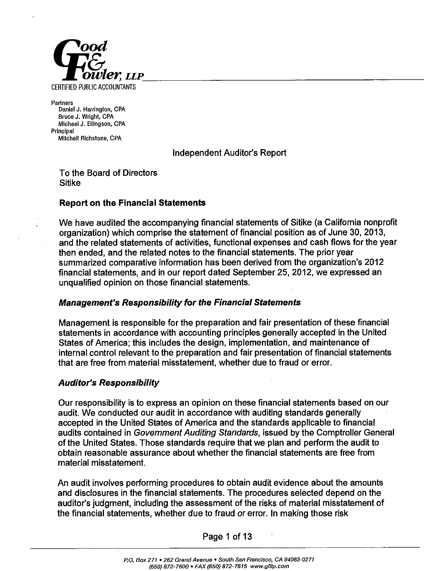

Partners Daniel J. Harrington, CPA Bruce J. Wright, CPA Michael J. Ellingson, CPA Principal Mitchell Rlchstone, CPA

#### Independent Auditor's Report

To the Board of Directors Sitike

#### Report on the Financial Statements

We have audited the accompanying financial statements of Sitike (a California nonprofit organization) which comprise the statement of financial position as of June 30, 2013, and the related statements of activities, functional expenses and cash flows for the year then ended, and the related notes to the financial statements. The prior year summarized comparative information has been derived from the organization's 2012 financial statements, and in our report dated September 25, 2012, we expressed an unqualified opinion on those financial statements.

#### Management's Responsibility for the Financial Statements

Management is responsible for the preparation and fair presentation of these financial statements in accordance with accounting principles generally accepted in the United States of America; this includes the design, implementation, and maintenance of internal control relevant to the preparation and fair presentation of financial statements that are free from material misstatement, whether due to fraud or error.

#### Auditor's Responsibility

Our responsibility is to express an opinion on these financial statements based on our audit. We conducted our audit in accordance with auditing standards generally accepted in the United States of America and the standards applicable to financial audits contained in Government Auditing Standards, issued by the Comptroller General of the United States. Those standards require that we plan and perform the audit to obtain reasonable assurance about whether the financial statements are free from material misstatement.

An audit involves performing procedures to obtain audit evidence about the amounts and disclosures in the financial statements. The procedures selected depend on the auditor's judgment, including the assessment of the risks of material misstatement of the financial statements, whether due to fraud or error. In making those risk

Page 1 of 13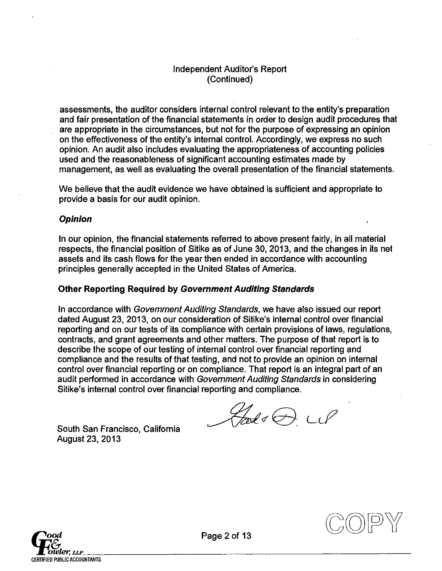# Independent Auditor's Report (Continued)

assessments, the auditor considers internal control relevant to the entity's preparation and fair presentation of the financial statements in order to design audit procedures that are appropriate in the circumstances, but not for the purpose of expressing an opinion on the effectiveness of the entity's internal control. Accordingly, we express no such opinion. An audit also includes evaluating the appropriateness of accounting policies used and the reasonableness of significant accounting estimates made by management, as well as evaluating the overall presentation of the financial statements.

We believe that the audit evidence we have obtained is sufficient and appropriate to provide a basis for our audit opinion.

#### **Opinion**

In our opinion, the financial statements referred to above present fairly, in all material respects, the financial position of Sitike as of June 30, 2013, and the changes in its net assets and its cash flows for the year then ended in accordance with accounting principles generally accepted in the United States of America.

#### **Other Reporting Required by Government Auditing Standards**

In accordance with Government Auditing Standards, we have also issued our report dated August 23, 2013, on our consideration of Sitike's internal control over financial reporting and on our tests of its compliance with certain provisions of laws, regulations, contracts, and grant agreements and other matters. The purpose of that report is to describe the scope of our testing of internal control over financial reporting and compliance and the results of that testing, and not to provide an opinion on internal control over financial reporting or on compliance. That report is an integral part of an audit performed in accordance with Government Auditing Standards in considering Sitike's internal control over financial reporting and compliance.

South San Francisco, California August 23, 2013

Hode of UP



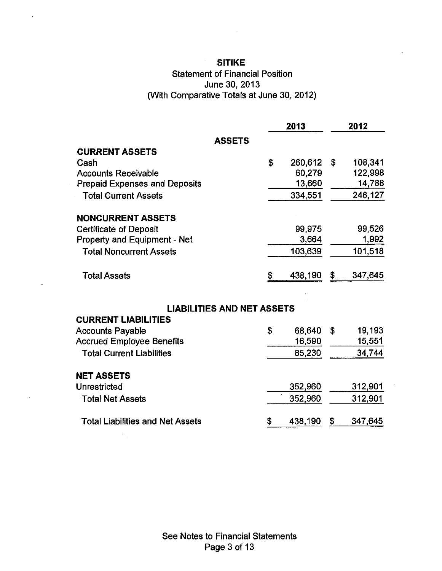# **SITIKE**  Statement of Financial Position June 30, 2013 (With Comparative Totals at June 30, 2012)

|                                      | 2013          | 2012          |
|--------------------------------------|---------------|---------------|
| <b>ASSETS</b>                        |               |               |
| <b>CURRENT ASSETS</b>                |               |               |
| Cash                                 | \$<br>260,612 | \$<br>108,341 |
| <b>Accounts Receivable</b>           | 60,279        | 122,998       |
| <b>Prepaid Expenses and Deposits</b> | 13,660        | 14,788        |
| <b>Total Current Assets</b>          | 334,551       | 246,127       |
| <b>NONCURRENT ASSETS</b>             |               |               |
| <b>Certificate of Deposit</b>        | 99,975        | 99,526        |
| Property and Equipment - Net         | 3,664         | 1,992         |
| <b>Total Noncurrent Assets</b>       | 103,639       | 101,518       |
| <b>Total Assets</b>                  | \$<br>438,190 | \$<br>347,645 |
| <b>LIABILITIES AND NET ASSETS</b>    |               |               |
| <b>CURRENT LIABILITIES</b>           |               |               |
| <b>Accounts Payable</b>              | \$<br>68.640  | \$<br>19,193  |
| <b>Accrued Employee Benefits</b>     | 16,590        | 15,551        |
| <b>Total Current Liabilities</b>     | 85,230        | 34,744        |
| <b>NET ASSETS</b>                    |               |               |
| <b>Unrestricted</b>                  | 352,960       | 312,901       |
| <b>Total Net Assets</b>              | 352,960       | 312,901       |

Total Liabilities and Net Assets  $\frac{\$}{438,190}$   $\frac{\$}{2}$ 

 $\alpha$ 

347,645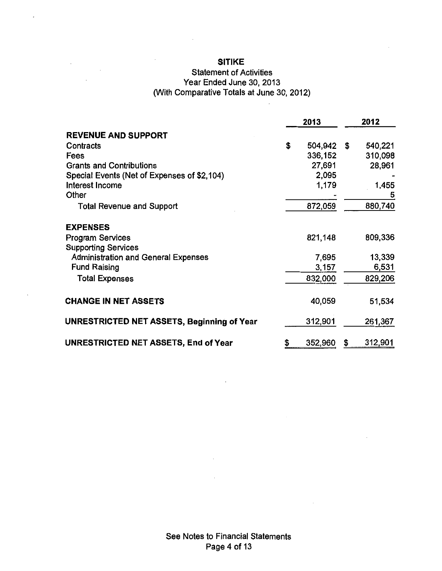# Statement of Activities Year Ended June 30, 2013 (With Comparative Totals at June 30, 2012)

|                                             | 2013 |            |    | 2012    |
|---------------------------------------------|------|------------|----|---------|
| <b>REVENUE AND SUPPORT</b>                  |      |            |    |         |
| Contracts                                   | \$   | 504,942 \$ |    | 540,221 |
| Fees                                        |      | 336,152    |    | 310,098 |
| <b>Grants and Contributions</b>             |      | 27,691     |    | 28,961  |
| Special Events (Net of Expenses of \$2,104) |      | 2,095      |    |         |
| Interest Income                             |      | 1,179      |    | 1,455   |
| Other                                       |      |            |    | 5       |
| <b>Total Revenue and Support</b>            |      | 872,059    |    | 880,740 |
| <b>EXPENSES</b>                             |      |            |    |         |
| <b>Program Services</b>                     |      | 821,148    |    | 809,336 |
| <b>Supporting Services</b>                  |      |            |    |         |
| <b>Administration and General Expenses</b>  |      | 7,695      |    | 13,339  |
| <b>Fund Raising</b>                         |      | 3,157      |    | 6,531   |
| <b>Total Expenses</b>                       |      | 832,000    |    | 829,206 |
| <b>CHANGE IN NET ASSETS</b>                 |      | 40,059     |    | 51,534  |
| UNRESTRICTED NET ASSETS, Beginning of Year  |      | 312,901    |    | 261,367 |
| UNRESTRICTED NET ASSETS, End of Year        | \$   | 352,960    | \$ | 312,901 |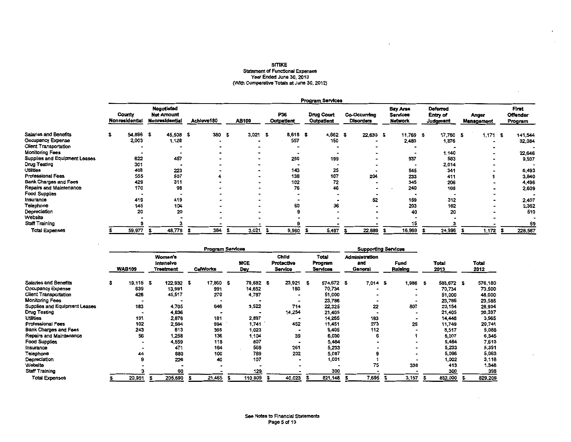#### smKE Statement of Functional Expenses Year Ended June 30, 2013 (With Comparative Totals at June 30, 2012)

 $\cdot$ 

 $\overline{a}$  $\mathcal{L}$ 

|                               | Program Services                                                                            |        |                  |              |                          |                                 |     |                                  |                                                      |                                         |                     |                                     |           |        |  |         |
|-------------------------------|---------------------------------------------------------------------------------------------|--------|------------------|--------------|--------------------------|---------------------------------|-----|----------------------------------|------------------------------------------------------|-----------------------------------------|---------------------|-------------------------------------|-----------|--------|--|---------|
|                               | Negotiated<br>County<br><b>Net Amount</b><br>Nonresidential<br>Nonresidential<br>Achieve180 |        |                  | <b>AB109</b> | P36<br>Outpatient        | <b>Drug Court</b><br>Outpatient |     | Co-Occurring<br><b>Disorders</b> | <b>Bay Area</b><br><b>Services</b><br><b>Network</b> | Deferred<br><b>Entry of</b><br>Judgment | Anger<br>Management | First<br><b>Offender</b><br>Program |           |        |  |         |
| Salaries and Benefits         | s                                                                                           | 54,896 | 45,508 \$<br>- S |              | 380 \$                   | 3,021                           | - 5 | $8,618$ \$                       | $4,862$ \$                                           |                                         | 22,633 S            | 11,769 \$                           | 17,760 \$ | 1,171S |  | 141,544 |
| Occupancy Expense             |                                                                                             | 2,003  | 1,128            |              | $\overline{\phantom{a}}$ |                                 |     | 557                              | 150                                                  |                                         | -                   | 2,483                               | 1,876     |        |  | 32,084  |
| Client Transportation         |                                                                                             |        |                  |              |                          |                                 |     |                                  |                                                      |                                         |                     |                                     |           |        |  |         |
| <b>Monitoring Fees</b>        |                                                                                             |        |                  |              |                          |                                 |     |                                  |                                                      |                                         |                     |                                     | 1,140     |        |  | 22,646  |
| Supplies and Equipment Leases |                                                                                             | 622    | 457              |              |                          |                                 |     | 250                              | 199                                                  |                                         |                     | 937                                 | 583       |        |  | 9,507   |
| Drug Testing                  |                                                                                             | 301    |                  |              |                          |                                 |     |                                  |                                                      |                                         |                     |                                     | 2,014     |        |  |         |
| Utilities                     |                                                                                             | 408    | 223              |              |                          |                                 |     | 143                              | 25                                                   |                                         |                     | 545                                 | 341       |        |  | 6,493   |
| <b>Professional Fees</b>      |                                                                                             | 555    | 507              |              |                          | -                               |     | 138                              | 107                                                  |                                         | 204                 | 233                                 | 411       |        |  | 3,840   |
| Bank Charges and Fees         |                                                                                             | 429    | 311              |              |                          | $\overline{\phantom{0}}$        |     | 102                              | 72                                                   |                                         |                     | 345                                 | 206       |        |  | 4,496   |
| Repairs and Maintenance       |                                                                                             | 170    | 98               |              |                          |                                 |     | 76                               | 46                                                   |                                         |                     | 240                                 | 168       |        |  | 2,609   |
| Food Supplies                 |                                                                                             |        |                  |              |                          |                                 |     |                                  |                                                      |                                         |                     |                                     |           |        |  |         |
| Insurance                     |                                                                                             | 419    | 419              |              |                          | $\overline{\phantom{0}}$        |     |                                  |                                                      |                                         | 52                  | 159                                 | 312       |        |  | 2,407   |
| Telephone                     |                                                                                             | 145    | 104              |              |                          | $\overline{\phantom{a}}$        |     | 60                               | 36                                                   |                                         |                     | 203                                 | 162       |        |  | 2,362   |
| Depreciation                  |                                                                                             | 20     | 20               |              |                          | -                               |     |                                  |                                                      |                                         |                     | 40                                  | 20        |        |  | 510     |
| Website                       |                                                                                             |        |                  |              |                          |                                 |     |                                  |                                                      |                                         |                     |                                     |           |        |  |         |
| Staff Training                |                                                                                             |        |                  |              |                          |                                 |     |                                  |                                                      |                                         |                     | 15                                  |           |        |  | 69      |
| <b>Total Expenses</b>         |                                                                                             | 59,977 | 48,778           |              | 384                      | 3,021                           |     | 9,960                            | 5,497                                                | -55                                     | 22,889              | 16,969                              | 24,996    | 1,172  |  | 228,567 |

|                               | <b>Program Services</b> |                          |                                   |            |          |           |            |           |                                | <b>Supporting Services</b> |                              |            |                                  |         |                        |                          |                      |            |     |                 |
|-------------------------------|-------------------------|--------------------------|-----------------------------------|------------|----------|-----------|------------|-----------|--------------------------------|----------------------------|------------------------------|------------|----------------------------------|---------|------------------------|--------------------------|----------------------|------------|-----|-----------------|
|                               | <b>WAB109</b>           |                          | Women's<br>Intensive<br>Treatment |            | CalWorks |           | MCE<br>Day |           | Child<br>Protective<br>Service |                            | Total<br>Program<br>Services |            | Administration<br>and<br>General |         | <b>Fund</b><br>Ralsing |                          | <b>Total</b><br>2013 |            |     | Total -<br>2012 |
| <b>Salaries and Benefits</b>  | s                       | 19,115 \$                |                                   | 122,932 \$ |          | 17,860 \$ |            | 78,682 \$ |                                | 23.921 \$                  |                              | 574,672 \$ |                                  | 7,014 S |                        | 1,986                    | - S                  | 583,672 \$ |     | 576,180         |
| Occupancy Expense             |                         | 639                      |                                   | 13,991     |          | 991       |            | 14,652    |                                | 180                        |                              | 70,734     |                                  |         |                        |                          |                      | 70,734     |     | 73,500          |
| <b>Client Transportation</b>  |                         | 426                      |                                   | 45,517     |          | 270       |            | 4,787     |                                |                            |                              | 51,000     |                                  |         |                        | $\overline{\phantom{0}}$ |                      | 51,000     |     | 48,000          |
| Monitoring Fees               |                         | $\overline{\phantom{a}}$ |                                   |            |          |           |            |           |                                |                            |                              | 23,786     |                                  |         |                        | $\overline{\phantom{0}}$ |                      | 23,786     |     | 23,585          |
| Supplies and Equipment Leases |                         | 183                      |                                   | 4,705      |          | 646       |            | 3,522     |                                | 714                        |                              | 22,325     |                                  | 22      |                        | 807                      |                      | 23.154     |     | 28.934          |
| Drug Testing                  |                         |                          |                                   | 4,836      |          |           |            |           |                                | 14,254                     |                              | 21,405     |                                  |         |                        |                          |                      | 21,405     |     | 20,337          |
| <b>Utilities</b>              |                         | 131                      |                                   | 2,878      |          | 181       |            | 2,897     |                                |                            |                              | 14,265     |                                  | 183     |                        |                          |                      | 14,448     |     | 3,565           |
| Professional Fees             |                         | 102                      |                                   | 2,564      |          | 594       |            | 1,741     |                                | 452                        |                              | 11,451     |                                  | 273     |                        | 25                       |                      | 11,749     |     | 20,741          |
| Bank Charges and Fees         |                         | 243                      |                                   | 813        |          | 365       |            | 1,023     |                                |                            |                              | 8,405      |                                  | 112     |                        |                          |                      | 8,517      |     | 5,088           |
| Repairs and Maintenance       |                         | 56                       |                                   | 1,258      |          | 136       |            | 1,104     |                                | 39                         |                              | 6,000      |                                  | 6       |                        |                          |                      | 6,007      |     | 6,345           |
| <b>Food Supplies</b>          |                         |                          |                                   | 4,559      |          | 118       |            | 807       |                                |                            |                              | 5,484      |                                  |         |                        |                          |                      | 5,484      |     | 7,613           |
| Insurance                     |                         |                          |                                   | 471        |          | 164       |            | 569       |                                | 261                        |                              | 5,233      |                                  |         |                        | $\bullet$                |                      | 5,233      |     | 5,391           |
| Telephone                     |                         | 44                       |                                   | 880        |          | 100       |            | 789       |                                | 202                        |                              | 5,087      |                                  |         |                        |                          |                      | 5,096      |     | 5,063           |
| Depreciation                  |                         |                          |                                   | 226        |          | 40        |            | 107       |                                |                            |                              | 1,001      |                                  |         |                        |                          |                      | 1,002      |     | 3,118           |
| Website                       |                         |                          |                                   |            |          |           |            |           |                                |                            |                              |            |                                  | 75      |                        | 338                      |                      | 413        |     | 1,348           |
| Staff Training                |                         |                          |                                   | 60         |          |           |            | 129       |                                |                            |                              | 300        |                                  |         |                        |                          |                      | 300        |     | 398             |
| <b>Total Expenses</b>         |                         | 20,951                   | -5                                | 205,690    |          | 21,465    | - 55       | 110,809   | -5                             | 40,023                     | - 55                         | 821,148    | -5                               | 7,695   | -5                     | 3,157                    | -S                   | 832,000    | -S. | 829,206         |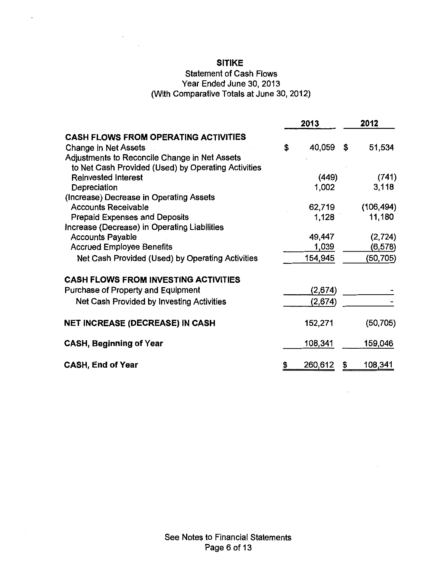# Statement of Cash Flows Year Ended June 30, 2013

(With Comparative Totals at June 30, 2012)

|                                                                                                      | 2013          | 2012          |
|------------------------------------------------------------------------------------------------------|---------------|---------------|
| <b>CASH FLOWS FROM OPERATING ACTIVITIES</b>                                                          |               |               |
| Change in Net Assets                                                                                 | \$<br>40,059  | \$<br>51,534  |
| Adjustments to Reconcile Change in Net Assets<br>to Net Cash Provided (Used) by Operating Activities |               |               |
| <b>Reinvested Interest</b>                                                                           | (449)         | (741)         |
| Depreciation                                                                                         | 1,002         | 3,118         |
| (Increase) Decrease in Operating Assets                                                              |               |               |
| <b>Accounts Receivable</b>                                                                           | 62,719        | (106, 494)    |
| <b>Prepaid Expenses and Deposits</b>                                                                 | 1,128         | 11,180        |
| Increase (Decrease) in Operating Liabilities                                                         |               |               |
| <b>Accounts Payable</b>                                                                              | 49,447        | (2, 724)      |
| <b>Accrued Employee Benefits</b>                                                                     | 1,039         | (6, 578)      |
| Net Cash Provided (Used) by Operating Activities                                                     | 154,945       | (50, 705)     |
| <b>CASH FLOWS FROM INVESTING ACTIVITIES</b>                                                          |               |               |
| Purchase of Property and Equipment                                                                   | (2,674)       |               |
| Net Cash Provided by Investing Activities                                                            | (2,674)       |               |
| NET INCREASE (DECREASE) IN CASH                                                                      | 152,271       | (50, 705)     |
| <b>CASH, Beginning of Year</b>                                                                       | 108,341       | 159,046       |
| <b>CASH, End of Year</b>                                                                             | \$<br>260,612 | \$<br>108,341 |

 $\sim$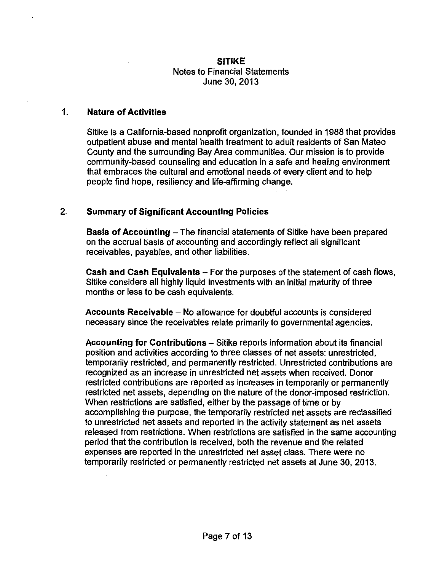# **SITIKE**  Notes to Financial Statements June 30, 2013

#### **1. Nature of Activities**

Sitike is a California-based nonprofit organization, founded in 1988 that provides outpatient abuse and mental health treatment to adult residents of San Mateo County and the surrounding Bay Area communities. Our mission is to provide community-based counseling and education in a safe and healing environment that embraces the cultural and emotional needs of every client and to help people find hope, resiliency and life-affirming change.

# 2. **Summary of Significant Accounting Policies**

**Basis of Accounting** - The financial statements of Sitike have been prepared on the accrual basis of accounting and accordingly reflect all significant receivables, payables, and other liabilities.

**Cash and Cash Equivalents** - For the purposes of the statement of cash flows, Sitike considers all highly liquid investments with an initial maturity of three months or less to be cash equivalents.

**Accounts Receivable** - No allowance for doubtful accounts is considered necessary since the receivables relate primarily to governmental agencies.

**Accounting for Contributions** - Sitike reports information about its financial position and activities according to three classes of net assets: unrestricted, temporarily restricted, and permanently restricted. Unrestricted contributions are recognized as an increase in unrestricted net assets when received. Donor restricted contributions are reported as increases in temporarily or permanently restricted net assets, depending on the nature of the donor-imposed restriction. When restrictions are satisfied, either by the passage of time or by accomplishing the purpose, the temporarily restricted net assets are reclassified to unrestricted net assets and reported in the activity statement as net assets released from restrictions. When restrictions are satisfied in the same accounting period that the contribution is received, both the revenue and the related expenses are reported in the unrestricted net asset class. There were no temporarily restricted or permanently restricted net assets at June 30, 2013.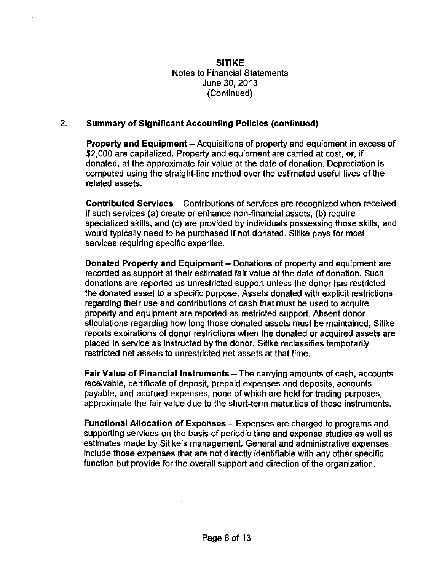## 2. **Summary of Significant Accounting Policies (continued)**

**Property and Equipment** – Acquisitions of property and equipment in excess of \$2,000 are capitalized. Property and equipment are carried at cost, or, if donated, at the approximate fair value at the date of donation. Depreciation is computed using the straight-line method over the estimated useful lives of the related assets.

**Contributed Services** – Contributions of services are recognized when received if such services (a) create or enhance non-financial assets, (b) require specialized skills, and (c) are provided by individuals possessing those skills, and would typically need to be purchased if not donated. Sitike pays for most services requiring specific expertise.

**Donated Property and Equipment-** Donations of property and equipment are recorded as support at their estimated fair value at the date of donation. Such donations are reported as unrestricted support unless the donor has restricted the donated asset to a specific purpose. Assets donated with explicit restrictions regarding their use and contributions of cash that must be used to acquire property and equipment are reported as restricted support. Absent donor stipulations regarding how long those donated assets must be maintained, Sitike reports expirations of donor restrictions when the donated or acquired assets are placed in service as instructed by the donor. Sitike reclassifies temporarily restricted net assets to unrestricted net assets at that time.

**Fair Value of Financial Instruments** – The carrying amounts of cash, accounts receivable, certificate of deposit, prepaid expenses and deposits, accounts payable, and accrued expenses, none of which are held for trading purposes, approximate the fair value due to the short-term maturities of those instruments.

**Functional Allocation of Expenses** – Expenses are charged to programs and supporting services on the basis of periodic time and expense studies as well as estimates made by Sitike's management. General and administrative expenses include those expenses that are not directly identifiable with any other specific function but provide for the overall support and direction of the organization.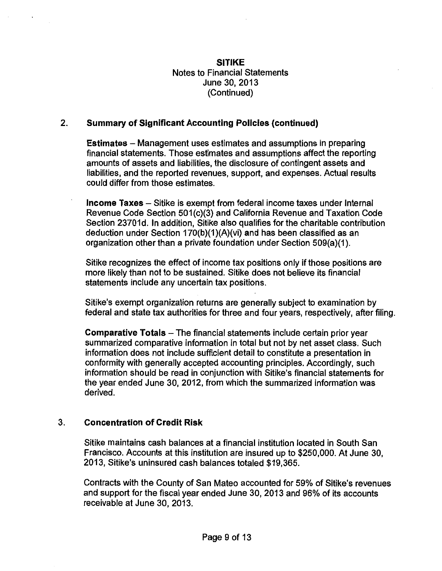## 2. **Summary of Significant Accounting Policies (continued)**

**Estimates** - Management uses estimates and assumptions in preparing financial statements. Those estimates and assumptions affect the reporting amounts of assets and liabilities, the disclosure of contingent assets and liabilities, and the reported revenues, support, and expenses. Actual results could differ from those estimates.

**Income Taxes** - Sitike is exempt from federal income taxes under Internal Revenue Code Section 501(c)(3) and California Revenue and Taxation Code Section 23701d. In addition, Sitike also qualifies for the charitable contribution deduction under Section 170(b)(1)(A)(vi) and has been classified as an organization other than a private foundation under Section 509(a)(1).

Sitike recognizes the effect of income tax positions only if those positions are more likely than not to be sustained. Sitike does not believe its financial statements include any uncertain tax positions.

Sitike's exempt organization returns are generally subject to examination by federal and state tax authorities for three and four years, respectively, after filing.

**Comparative Totals** -The financial statements include certain prior year summarized comparative information in total but not by net asset class. Such information does not include sufficient detail to constitute a presentation in conformity with generally accepted accounting principles. Accordingly, such information should be read in conjunction with Sitike's financial statements for the year ended June 30, 2012, from which the summarized information was derived.

#### 3. **Concentration of Credit Risk**

Sitike maintains cash balances at a financial institution located in South San Francisco. Accounts at this institution are insured up to \$250,000. At June 30, 2013, Sitike's uninsured cash balances totaled \$19,365.

Contracts with the County of San Mateo accounted for 59% of Sitike's revenues and support for the fiscal year ended June 30, 2013 and 96% of its accounts receivable at June 30, 2013.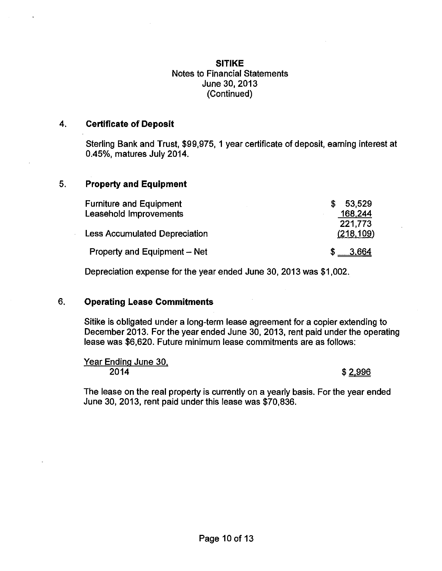#### **4. Certificate of Deposit**

Sterling Bank and Trust, \$99,975, 1 year certificate of deposit, earning interest at 0.45%, matures July 2014.

#### 5. **Property and Equipment**

| <b>Furniture and Equipment</b><br>Leasehold Improvements | 53,529<br>S<br>168,244 |
|----------------------------------------------------------|------------------------|
| <b>Less Accumulated Depreciation</b>                     | 221,773<br>(218, 109)  |
| Property and Equipment - Net                             | -3.664                 |

Depreciation expense for the year ended June 30, 2013 was \$1,002.

#### 6. **Operating Lease Commitments**

Sitike is obligated under a long-term lease agreement for a copier extending to December 2013. For the year ended June 30, 2013, rent paid under the operating lease was \$6,620. Future minimum lease commitments are as follows:

Year Ending June 30,<br>2014

\$2,996

The lease on the real property is currently on a yearly basis. For the year ended June 30, 2013, rent paid under this lease was \$70,836.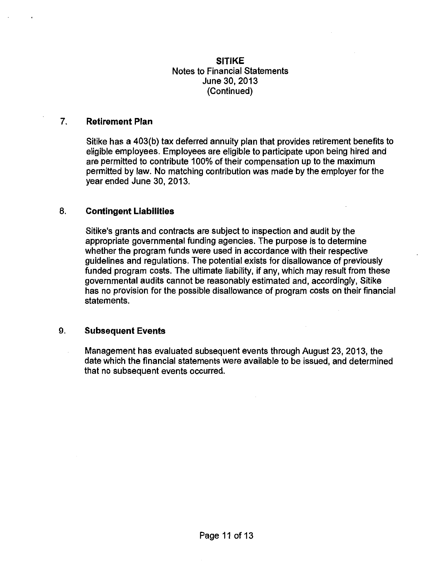#### 7. **Retirement Plan**

Sitike has a 403(b) tax deferred annuity plan that provides retirement benefits to eligible employees. Employees are eligible to participate upon being hired and are permitted to contribute 100% of their compensation up to the maximum permitted by law. No matching contribution was made by the employer for the year ended June 30, 2013.

#### 8. **Contingent Liabilities**

Sitike's grants and contracts are subject to inspection and audit by the appropriate governmental funding agencies. The purpose is to determine whether the program funds were used in accordance with their respective guidelines and regulations. The potential exists for disallowance of previously funded program costs. The ultimate liability, if any, which may result from these governmental audits cannot be reasonably estimated and, accordingly, Sitike has no provision for the possible disallowance of program costs on their financial statements.

#### 9. **Subsequent Events**

Management has evaluated subsequent events through August 23, 2013, the date which the financial statements were available to be issued, and determined that no subsequent events occurred.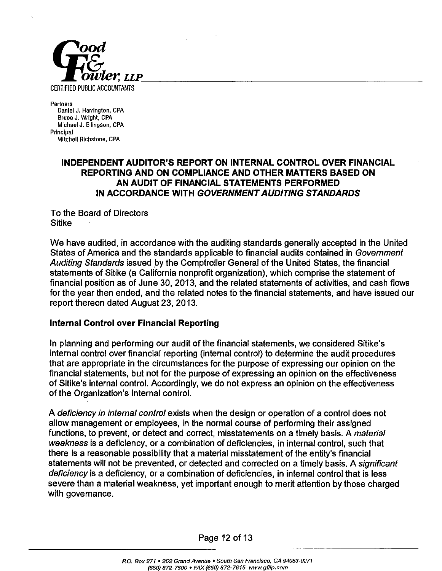

**Partners** Daniel J. Harrington, CPA Bruce J. Wright, CPA Michael J. Ellingson, CPA **Principal** Mitchell Rlchstone, CPA

# **INDEPENDENT AUDITOR'S REPORT ON INTERNAL CONTROL OVER FINANCIAL REPORTING AND ON COMPLIANCE AND OTHER MATIERS BASED ON AN AUDIT OF FINANCIAL STATEMENTS PERFORMED IN ACCORDANCE WITH GOVERNMENT AUDITING STANDARDS**

To the Board of Directors **Sitike** 

We have audited, in accordance with the auditing standards generally accepted in the United States of America and the standards applicable to financial audits contained in Government Auditing Standards issued by the Comptroller General of the United States, the financial statements of Sitike (a California nonprofit organization), which comprise the statement of financial position as of June 30, 2013, and the related statements of activities, and cash flows for the year then ended, and the related notes to the financial statements, and have issued our report thereon dated August 23, 2013.

#### **Internal Control over Financial Reporting**

In planning and performing our audit of the financial statements, we considered Sitike's internal control over financial reporting (internal control) to determine the audit procedures that are appropriate in the circumstances for the purpose of expressing our opinion on the financial statements, but not for the purpose of expressing an opinion on the effectiveness of Sitike's internal control. Accordingly, we do not express an opinion on the effectiveness of the Organization's internal control.

A deficiency in internal control exists when the design or operation of a control does not allow management or employees, in the normal course of performing their assigned functions, to prevent, or detect and correct, misstatements on a timely basis. A material weakness is a deficiency, or a combination of deficiencies, in internal control, such that there is a reasonable possibility that a material misstatement of the entity's financial statements will not be prevented, or detected and corrected on a timely basis. A significant deficiency is a deficiency, or a combination of deficiencies, in internal control that is less severe than a material weakness, yet important enough to merit attention by those charged with governance.

Page 12 of 13